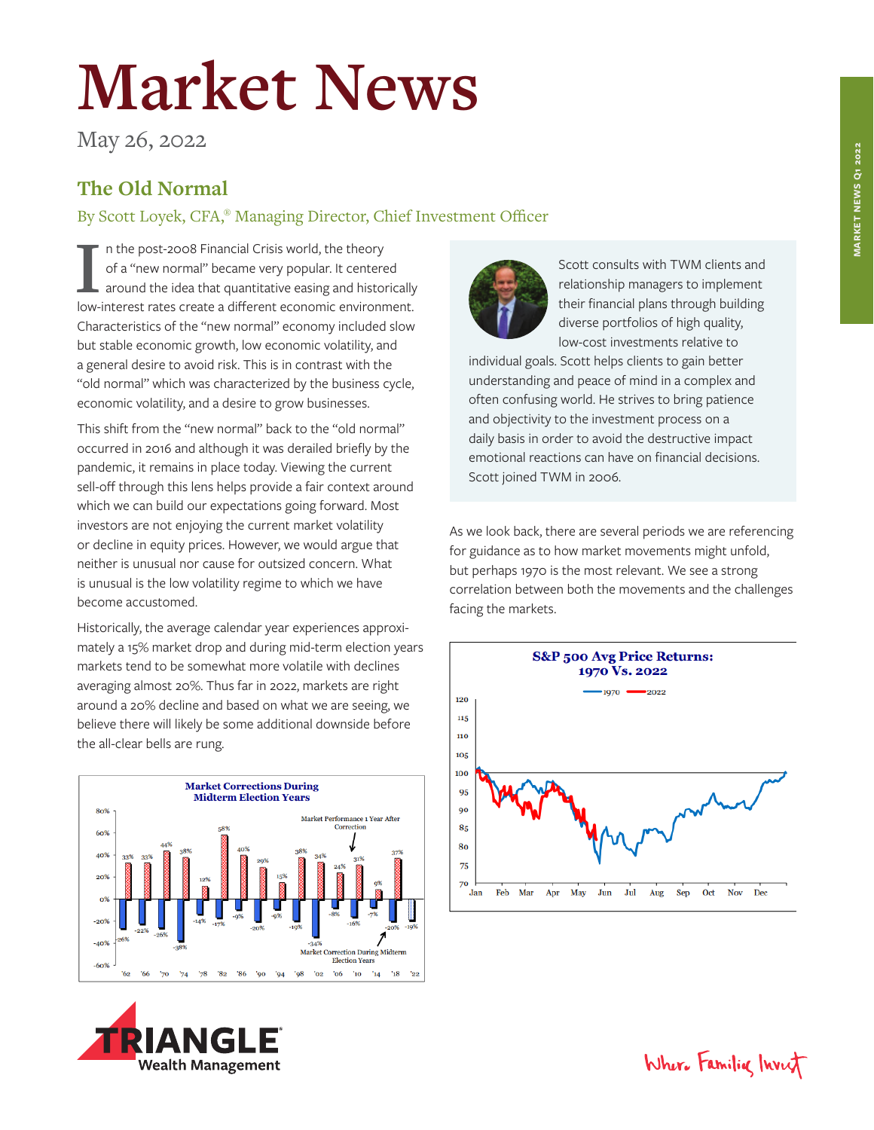## **Market News**

May 26, 2022

## **The Old Normal**

By Scott Loyek, CFA,® Managing Director, Chief Investment Officer

II in the post-2008 Financial Crisis world, the theory of a "new normal" became very popular. It centered around the idea that quantitative easing and historically low-interest rates create a different economic environment n the post-2008 Financial Crisis world, the theory of a "new normal" became very popular. It centered around the idea that quantitative easing and historically Characteristics of the "new normal" economy included slow but stable economic growth, low economic volatility, and a general desire to avoid risk. This is in contrast with the "old normal" which was characterized by the business cycle, economic volatility, and a desire to grow businesses.

This shift from the "new normal" back to the "old normal" occurred in 2016 and although it was derailed briefly by the pandemic, it remains in place today. Viewing the current sell-off through this lens helps provide a fair context around which we can build our expectations going forward. Most investors are not enjoying the current market volatility or decline in equity prices. However, we would argue that neither is unusual nor cause for outsized concern. What is unusual is the low volatility regime to which we have become accustomed.

Historically, the average calendar year experiences approximately a 15% market drop and during mid-term election years markets tend to be somewhat more volatile with declines averaging almost 20%. Thus far in 2022, markets are right around a 20% decline and based on what we are seeing, we believe there will likely be some additional downside before the all-clear bells are rung.







Scott consults with TWM clients and relationship managers to implement their financial plans through building diverse portfolios of high quality, low-cost investments relative to

individual goals. Scott helps clients to gain better understanding and peace of mind in a complex and often confusing world. He strives to bring patience and objectivity to the investment process on a daily basis in order to avoid the destructive impact emotional reactions can have on financial decisions. Scott joined TWM in 2006.

As we look back, there are several periods we are referencing for guidance as to how market movements might unfold, but perhaps 1970 is the most relevant. We see a strong correlation between both the movements and the challenges facing the markets.



Where Familia Invest